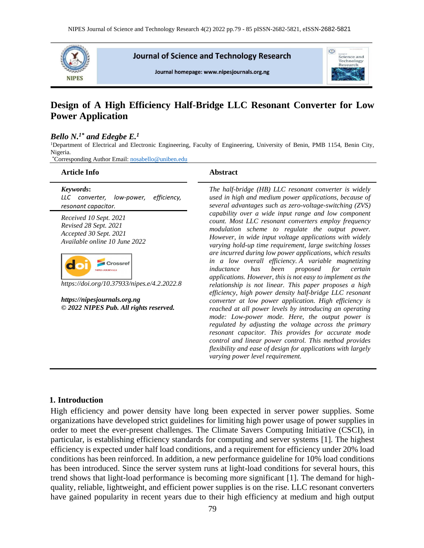

**Journal of Science and Technology Research** 

Journal homepage: www.nipesjournals.org.ng



# **Design of A High Efficiency Half-Bridge LLC Resonant Converter for Low Power Application**

#### *Bello N. 1\* and Edegbe E. 1*

<sup>1</sup>Department of Electrical and Electronic Engineering, Faculty of Engineering, University of Benin, PMB 1154, Benin City, Nigeria.

\*Corresponding Author Email: [nosabello@uniben.edu](mailto:nosabello@uniben.edu)

| <b>Article Info</b>                                                                                                                                                                                                                                                           | <b>Abstract</b>                                                                                                                                                                                                                                                                                                                                                                                                                                                                                                                                                                                                                                                                                                                                                                                                                                                                                                                                                                                                                                                                                           |
|-------------------------------------------------------------------------------------------------------------------------------------------------------------------------------------------------------------------------------------------------------------------------------|-----------------------------------------------------------------------------------------------------------------------------------------------------------------------------------------------------------------------------------------------------------------------------------------------------------------------------------------------------------------------------------------------------------------------------------------------------------------------------------------------------------------------------------------------------------------------------------------------------------------------------------------------------------------------------------------------------------------------------------------------------------------------------------------------------------------------------------------------------------------------------------------------------------------------------------------------------------------------------------------------------------------------------------------------------------------------------------------------------------|
| Keywords:<br>LLC converter,<br>low-power,<br>efficiency,<br>resonant capacitor.                                                                                                                                                                                               | The half-bridge (HB) LLC resonant converter is widely<br>used in high and medium power applications, because of<br>several advantages such as zero-voltage-switching (ZVS)                                                                                                                                                                                                                                                                                                                                                                                                                                                                                                                                                                                                                                                                                                                                                                                                                                                                                                                                |
| Received 10 Sept. 2021<br>Revised 28 Sept. 2021<br>Accepted 30 Sept. 2021<br>Available online 10 June 2022<br><b>cossret</b><br><b>IPES JOURNALS</b><br>https://doi.org/10.37933/nipes.e/4.2.2022.8<br>https://nipesjournals.org.ng<br>© 2022 NIPES Pub. All rights reserved. | capability over a wide input range and low component<br>count. Most LLC resonant converters employ frequency<br>modulation scheme to regulate the output power.<br>However, in wide input voltage applications with widely<br>varying hold-up time requirement, large switching losses<br>are incurred during low power applications, which results<br>in a low overall efficiency. A variable magnetizing<br>has<br>been proposed for<br>inductance<br>certain<br>applications. However, this is not easy to implement as the<br>relationship is not linear. This paper proposes a high<br>efficiency, high power density half-bridge LLC resonant<br>converter at low power application. High efficiency is<br>reached at all power levels by introducing an operating<br>mode: Low-power mode. Here, the output power is<br>regulated by adjusting the voltage across the primary<br>resonant capacitor. This provides for accurate mode<br>control and linear power control. This method provides<br>flexibility and ease of design for applications with largely<br>varying power level requirement. |

### **1. Introduction**

High efficiency and power density have long been expected in server power supplies. Some organizations have developed strict guidelines for limiting high power usage of power supplies in order to meet the ever-present challenges. The Climate Savers Computing Initiative (CSCI), in particular, is establishing efficiency standards for computing and server systems [1]. The highest efficiency is expected under half load conditions, and a requirement for efficiency under 20% load conditions has been reinforced. In addition, a new performance guideline for 10% load conditions has been introduced. Since the server system runs at light-load conditions for several hours, this trend shows that light-load performance is becoming more significant [1]. The demand for highquality, reliable, lightweight, and efficient power supplies is on the rise. LLC resonant converters have gained popularity in recent years due to their high efficiency at medium and high output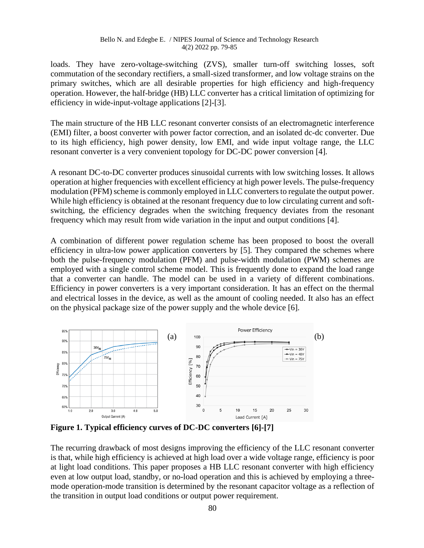#### Bello N. and Edegbe E. / NIPES Journal of Science and Technology Research 4(2) 2022 pp. 79-85

loads. They have zero-voltage-switching (ZVS), smaller turn-off switching losses, soft commutation of the secondary rectifiers, a small-sized transformer, and low voltage strains on the primary switches, which are all desirable properties for high efficiency and high-frequency operation. However, the half-bridge (HB) LLC converter has a critical limitation of optimizing for efficiency in wide-input-voltage applications [2]-[3].

The main structure of the HB LLC resonant converter consists of an electromagnetic interference (EMI) filter, a boost converter with power factor correction, and an isolated dc-dc converter. Due to its high efficiency, high power density, low EMI, and wide input voltage range, the LLC resonant converter is a very convenient topology for DC-DC power conversion [4].

A resonant DC-to-DC converter produces sinusoidal currents with low switching losses. It allows operation at higher frequencies with excellent efficiency at high power levels. The pulse-frequency modulation (PFM) scheme is commonly employed in LLC converters to regulate the output power. While high efficiency is obtained at the resonant frequency due to low circulating current and softswitching, the efficiency degrades when the switching frequency deviates from the resonant frequency which may result from wide variation in the input and output conditions [4].

A combination of different power regulation scheme has been proposed to boost the overall efficiency in ultra-low power application converters by [5]. They compared the schemes where both the pulse-frequency modulation (PFM) and pulse-width modulation (PWM) schemes are employed with a single control scheme model. This is frequently done to expand the load range that a converter can handle. The model can be used in a variety of different combinations. Efficiency in power converters is a very important consideration. It has an effect on the thermal and electrical losses in the device, as well as the amount of cooling needed. It also has an effect on the physical package size of the power supply and the whole device [6].



**Figure 1. Typical efficiency curves of DC-DC converters [6]-[7]**

The recurring drawback of most designs improving the efficiency of the LLC resonant converter is that, while high efficiency is achieved at high load over a wide voltage range, efficiency is poor at light load conditions. This paper proposes a HB LLC resonant converter with high efficiency even at low output load, standby, or no-load operation and this is achieved by employing a threemode operation-mode transition is determined by the resonant capacitor voltage as a reflection of the transition in output load conditions or output power requirement.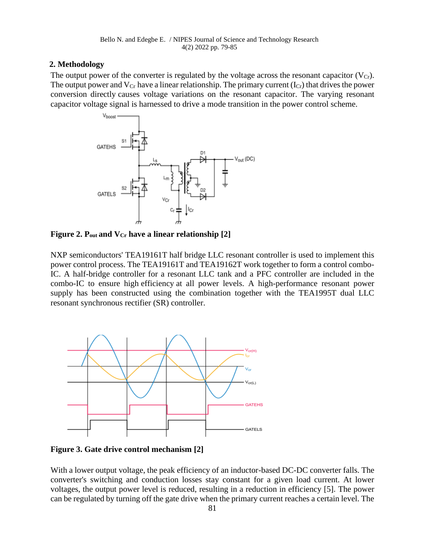### **2. Methodology**

The output power of the converter is regulated by the voltage across the resonant capacitor  $(V<sub>Cr</sub>)$ . The output power and  $V_{Cr}$  have a linear relationship. The primary current  $(I_{Cr})$  that drives the power conversion directly causes voltage variations on the resonant capacitor. The varying resonant capacitor voltage signal is harnessed to drive a mode transition in the power control scheme.



**Figure 2. Pout and VCr have a linear relationship [2]**

NXP semiconductors' TEA19161T half bridge LLC resonant controller is used to implement this power control process. The TEA19161T and TEA19162T work together to form a control combo-IC. A half-bridge controller for a resonant LLC tank and a PFC controller are included in the combo-IC to ensure high efficiency at all power levels. A high-performance resonant power supply has been constructed using the combination together with the TEA1995T dual LLC resonant synchronous rectifier (SR) controller.



**Figure 3. Gate drive control mechanism [2]**

With a lower output voltage, the peak efficiency of an inductor-based DC-DC converter falls. The converter's switching and conduction losses stay constant for a given load current. At lower voltages, the output power level is reduced, resulting in a reduction in efficiency [5]. The power can be regulated by turning off the gate drive when the primary current reaches a certain level. The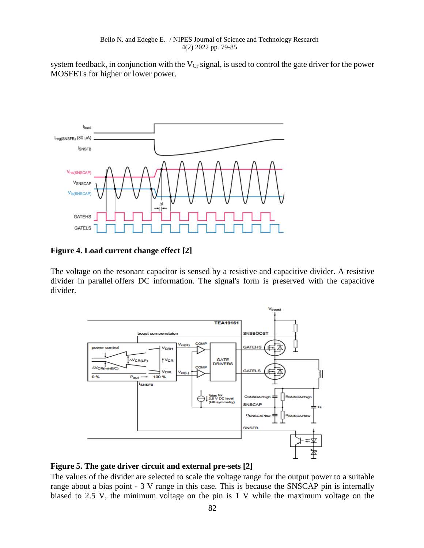system feedback, in conjunction with the  $V_{Cr}$  signal, is used to control the gate driver for the power MOSFETs for higher or lower power.



**Figure 4. Load current change effect [2]**

The voltage on the resonant capacitor is sensed by a resistive and capacitive divider. A resistive divider in parallel offers DC information. The signal's form is preserved with the capacitive divider.



### **Figure 5. The gate driver circuit and external pre-sets [2]**

The values of the divider are selected to scale the voltage range for the output power to a suitable range about a bias point - 3 V range in this case. This is because the SNSCAP pin is internally biased to 2.5 V, the minimum voltage on the pin is 1 V while the maximum voltage on the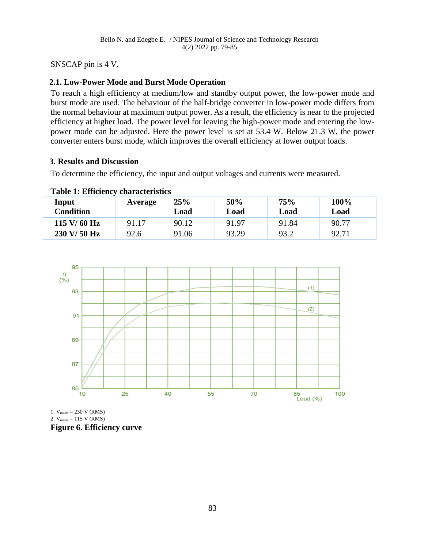SNSCAP pin is 4 V.

## **2.1. Low-Power Mode and Burst Mode Operation**

To reach a high efficiency at medium/low and standby output power, the low-power mode and burst mode are used. The behaviour of the half-bridge converter in low-power mode differs from the normal behaviour at maximum output power. As a result, the efficiency is near to the projected efficiency at higher load. The power level for leaving the high-power mode and entering the lowpower mode can be adjusted. Here the power level is set at 53.4 W. Below 21.3 W, the power converter enters burst mode, which improves the overall efficiency at lower output loads.

### **3. Results and Discussion**

To determine the efficiency, the input and output voltages and currents were measured.

### **Table 1: Efficiency characteristics**

| Input<br><b>Condition</b>       | Average | 25%<br>Load | 50%<br>Load | 75%<br>Load | 100%<br>Load |
|---------------------------------|---------|-------------|-------------|-------------|--------------|
| $115 \text{ V} / 60 \text{ Hz}$ | 91.17   | 90.12       | 91.97       | 91.84       | 90.77        |
| 230 V/50 Hz                     | 92.6    | 91.06       | 93.29       | 93.2        | 92.71        |



1.  $V_{\text{mains}} = 230 \text{ V} (\text{RMS})$ 2.  $V_{\text{mains}} = 115 \text{ V} (\text{RMS})$ **Figure 6. Efficiency curve**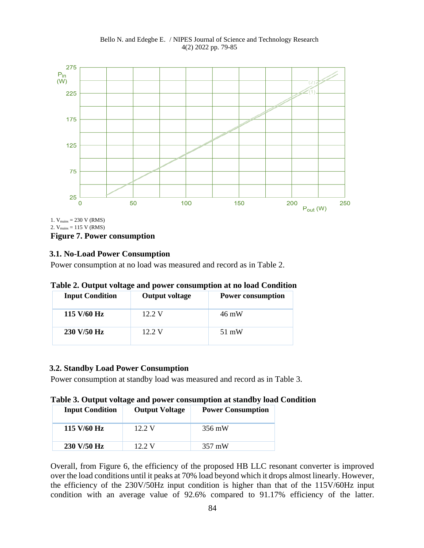Bello N. and Edegbe E. / NIPES Journal of Science and Technology Research 4(2) 2022 pp. 79-85



1.  $V_{\text{mains}} = 230 \text{ V} (\text{RMS})$ 2.  $V_{\text{mains}} = 115 \text{ V} (\text{RMS})$ **Figure 7. Power consumption**

### **3.1. No-Load Power Consumption**

Power consumption at no load was measured and record as in Table 2.

#### **Table 2. Output voltage and power consumption at no load Condition**

| <b>Input Condition</b> | <b>Output voltage</b> | <b>Power consumption</b> |
|------------------------|-----------------------|--------------------------|
| 115 $V/60$ Hz          | 12.2 V                | 46 mW                    |
| 230 V/50 Hz            | 12.2 V                | 51 mW                    |

#### **3.2. Standby Load Power Consumption**

Power consumption at standby load was measured and record as in Table 3.

### **Table 3. Output voltage and power consumption at standby load Condition**

| <b>Input Condition</b>          | <b>Output Voltage</b> | <b>Power Consumption</b> |
|---------------------------------|-----------------------|--------------------------|
| $115 \text{ V} / 60 \text{ Hz}$ | 12.2 V                | 356 mW                   |
| 230 V/50 Hz                     | $12.2 \text{ V}$      | $357 \text{ mW}$         |

Overall, from Figure 6, the efficiency of the proposed HB LLC resonant converter is improved over the load conditions until it peaks at 70% load beyond which it drops almost linearly. However, the efficiency of the 230V/50Hz input condition is higher than that of the 115V/60Hz input condition with an average value of 92.6% compared to 91.17% efficiency of the latter.